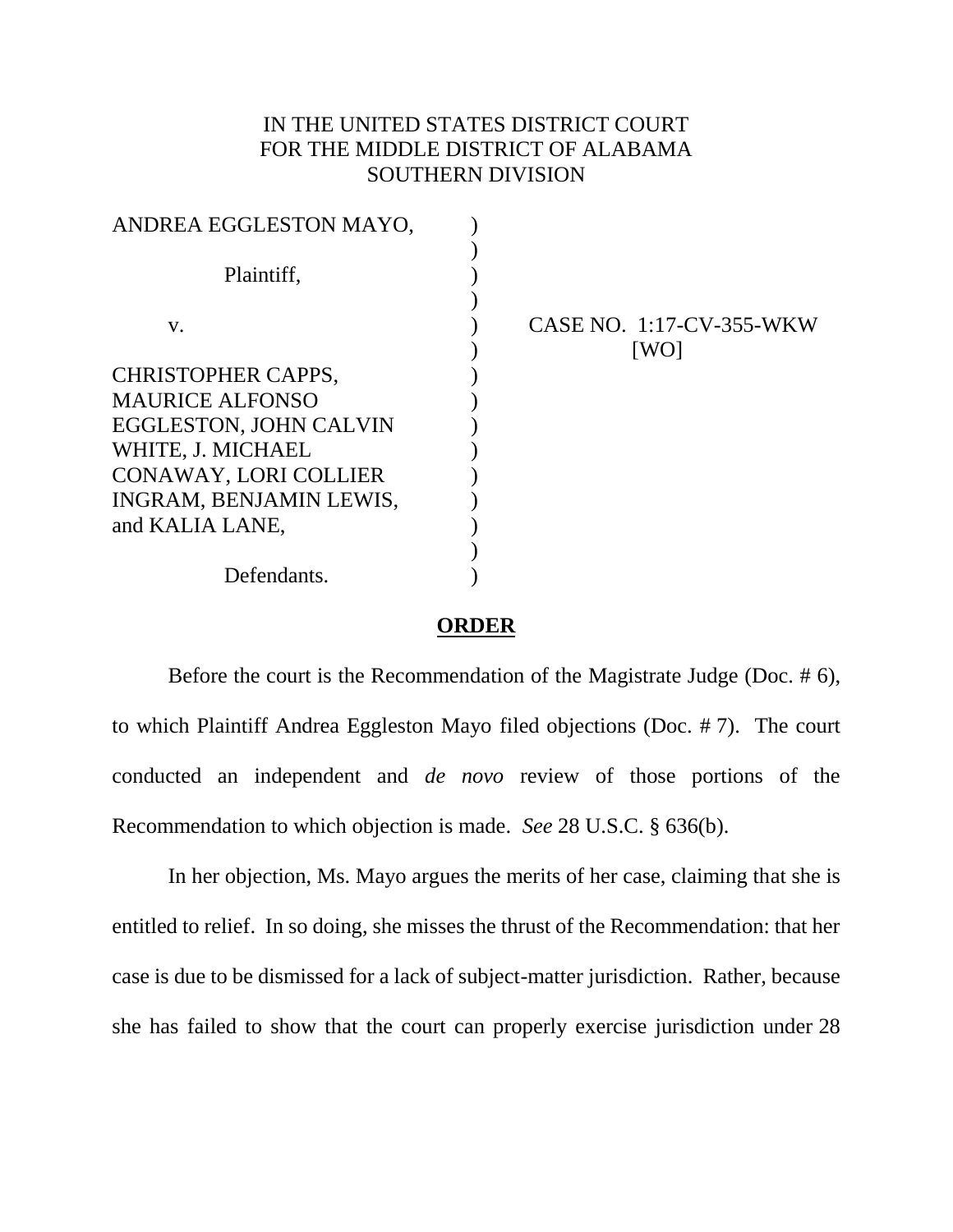## IN THE UNITED STATES DISTRICT COURT FOR THE MIDDLE DISTRICT OF ALABAMA SOUTHERN DIVISION

| CASE NO. 1:17-CV-355-WKW<br>[WO] |
|----------------------------------|
|                                  |
|                                  |
|                                  |
|                                  |
|                                  |
|                                  |
|                                  |
|                                  |
|                                  |
|                                  |

## **ORDER**

Before the court is the Recommendation of the Magistrate Judge (Doc. # 6), to which Plaintiff Andrea Eggleston Mayo filed objections (Doc. # 7). The court conducted an independent and *de novo* review of those portions of the Recommendation to which objection is made. *See* 28 U.S.C. § 636(b).

In her objection, Ms. Mayo argues the merits of her case, claiming that she is entitled to relief. In so doing, she misses the thrust of the Recommendation: that her case is due to be dismissed for a lack of subject-matter jurisdiction. Rather, because she has failed to show that the court can properly exercise jurisdiction under 28